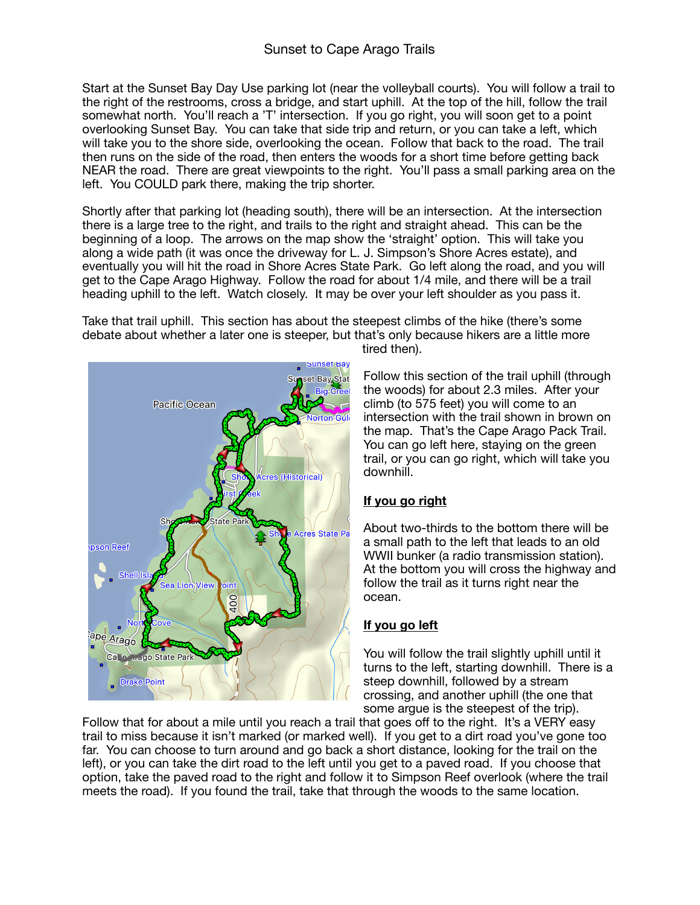Start at the Sunset Bay Day Use parking lot (near the volleyball courts). You will follow a trail to the right of the restrooms, cross a bridge, and start uphill. At the top of the hill, follow the trail somewhat north. You'll reach a 'T' intersection. If you go right, you will soon get to a point overlooking Sunset Bay. You can take that side trip and return, or you can take a left, which will take you to the shore side, overlooking the ocean. Follow that back to the road. The trail then runs on the side of the road, then enters the woods for a short time before getting back NEAR the road. There are great viewpoints to the right. You'll pass a small parking area on the left. You COULD park there, making the trip shorter.

Shortly after that parking lot (heading south), there will be an intersection. At the intersection there is a large tree to the right, and trails to the right and straight ahead. This can be the beginning of a loop. The arrows on the map show the 'straight' option. This will take you along a wide path (it was once the driveway for L. J. Simpson's Shore Acres estate), and eventually you will hit the road in Shore Acres State Park. Go left along the road, and you will get to the Cape Arago Highway. Follow the road for about 1/4 mile, and there will be a trail heading uphill to the left. Watch closely. It may be over your left shoulder as you pass it.

Take that trail uphill. This section has about the steepest climbs of the hike (there's some debate about whether a later one is steeper, but that's only because hikers are a little more



tired then).

Follow this section of the trail uphill (through the woods) for about 2.3 miles. After your climb (to 575 feet) you will come to an intersection with the trail shown in brown on the map. That's the Cape Arago Pack Trail. You can go left here, staying on the green trail, or you can go right, which will take you downhill.

## **If you go right**

About two-thirds to the bottom there will be a small path to the left that leads to an old WWII bunker (a radio transmission station). At the bottom you will cross the highway and follow the trail as it turns right near the ocean.

## **If you go left**

You will follow the trail slightly uphill until it turns to the left, starting downhill. There is a steep downhill, followed by a stream crossing, and another uphill (the one that some argue is the steepest of the trip).

Follow that for about a mile until you reach a trail that goes off to the right. It's a VERY easy trail to miss because it isn't marked (or marked well). If you get to a dirt road you've gone too far. You can choose to turn around and go back a short distance, looking for the trail on the left), or you can take the dirt road to the left until you get to a paved road. If you choose that option, take the paved road to the right and follow it to Simpson Reef overlook (where the trail meets the road). If you found the trail, take that through the woods to the same location.